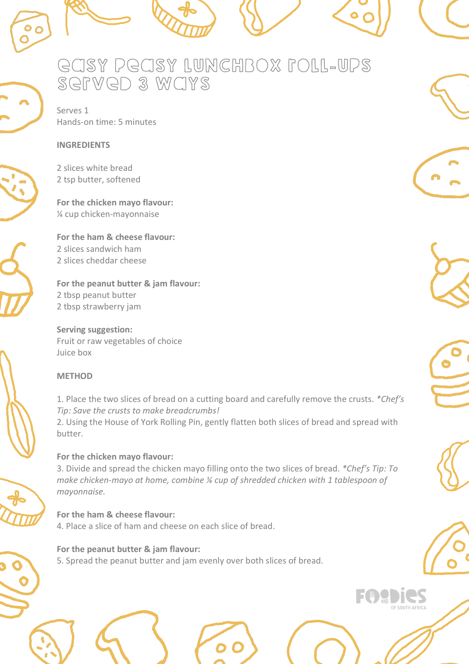

# easy peasy lunchbox roll-ups served 3 ways

Serves 1 Hands-on time: 5 minutes

#### **INGREDIENTS**

2 slices white bread 2 tsp butter, softened

**For the chicken mayo flavour:** ¼ cup chicken-mayonnaise

**For the ham & cheese flavour:** 2 slices sandwich ham 2 slices cheddar cheese

**For the peanut butter & jam flavour:** 2 tbsp peanut butter 2 tbsp strawberry jam

**Serving suggestion:** Fruit or raw vegetables of choice Juice box

### **METHOD**

1. Place the two slices of bread on a cutting board and carefully remove the crusts. *\*Chef's Tip: Save the crusts to make breadcrumbs!*

2. Using the House of York Rolling Pin, gently flatten both slices of bread and spread with butter.

### **For the chicken mayo flavour:**

3. Divide and spread the chicken mayo filling onto the two slices of bread. *\*Chef's Tip: To make chicken-mayo at home, combine ¼ cup of shredded chicken with 1 tablespoon of mayonnaise.* 

**For the ham & cheese flavour:** 4. Place a slice of ham and cheese on each slice of bread.

**For the peanut butter & jam flavour:** 5. Spread the peanut butter and jam evenly over both slices of bread.